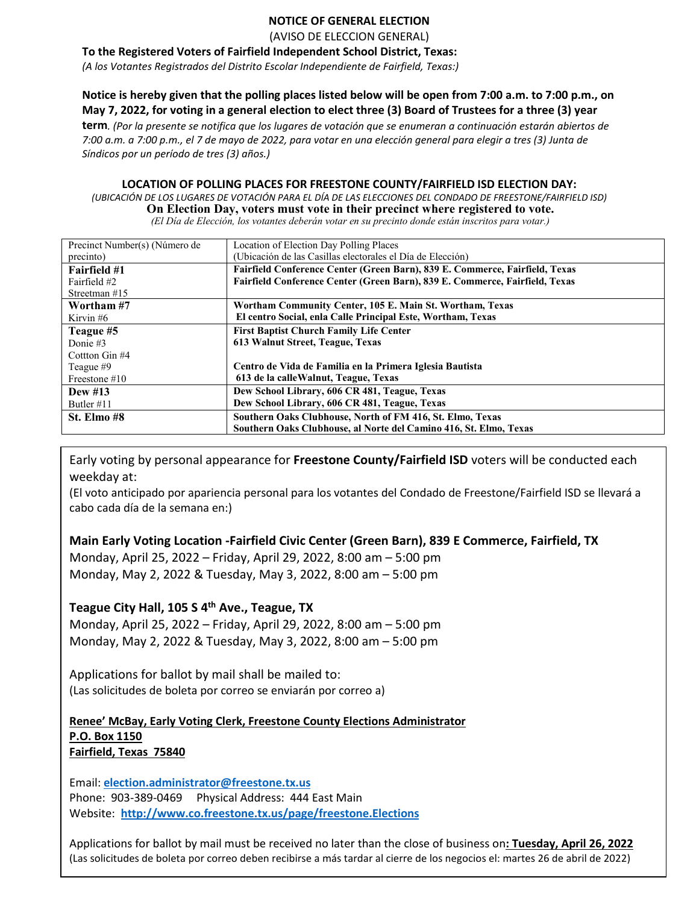### **NOTICE OF GENERAL ELECTION**

(AVISO DE ELECCION GENERAL)

**To the Registered Voters of Fairfield Independent School District, Texas:**

*(A los Votantes Registrados del Distrito Escolar Independiente de Fairfield, Texas:)*

### **Notice is hereby given that the polling places listed below will be open from 7:00 a.m. to 7:00 p.m., on May 7, 2022, for voting in a general election to elect three (3) Board of Trustees for a three (3) year**

**term***. (Por la presente se notifica que los lugares de votación que se enumeran a continuación estarán abiertos de 7:00 a.m. a 7:00 p.m., el 7 de mayo de 2022, para votar en una elección general para elegir a tres (3) Junta de Síndicos por un período de tres (3) años.)*

#### **LOCATION OF POLLING PLACES FOR FREESTONE COUNTY/FAIRFIELD ISD ELECTION DAY:**

*(UBICACIÓN DE LOS LUGARES DE VOTACIÓN PARA EL DÍA DE LAS ELECCIONES DEL CONDADO DE FREESTONE/FAIRFIELD ISD)* **On Election Day, voters must vote in their precinct where registered to vote.** *(El Día de Elección, los votantes deberán votar en su precinto donde están inscritos para votar.)*

| Precinct Number(s) (Número de | Location of Election Day Polling Places                                     |
|-------------------------------|-----------------------------------------------------------------------------|
| precinto)                     | (Ubicación de las Casillas electorales el Día de Elección)                  |
| <b>Fairfield #1</b>           | Fairfield Conference Center (Green Barn), 839 E. Commerce, Fairfield, Texas |
| Fairfield #2                  | Fairfield Conference Center (Green Barn), 839 E. Commerce, Fairfield, Texas |
| Streetman $#15$               |                                                                             |
| Wortham #7                    | Wortham Community Center, 105 E. Main St. Wortham, Texas                    |
| Kirvin#6                      | El centro Social, enla Calle Principal Este, Wortham, Texas                 |
| Teague #5                     | <b>First Baptist Church Family Life Center</b>                              |
| Donie $#3$                    | 613 Walnut Street, Teague, Texas                                            |
| Cottton Gin #4                |                                                                             |
| Teague #9                     | Centro de Vida de Familia en la Primera Iglesia Bautista                    |
| Freestone $#10$               | 613 de la calle Walnut, Teague, Texas                                       |
| Dew $#13$                     | Dew School Library, 606 CR 481, Teague, Texas                               |
| Butler #11                    | Dew School Library, 606 CR 481, Teague, Texas                               |
| St. Elmo #8                   | Southern Oaks Clubhouse, North of FM 416, St. Elmo, Texas                   |
|                               | Southern Oaks Clubhouse, al Norte del Camino 416, St. Elmo, Texas           |

Early voting by personal appearance for **Freestone County/Fairfield ISD** voters will be conducted each weekday at:

(El voto anticipado por apariencia personal para los votantes del Condado de Freestone/Fairfield ISD se llevará a cabo cada día de la semana en:)

**Main Early Voting Location -Fairfield Civic Center (Green Barn), 839 E Commerce, Fairfield, TX**

Monday, April 25, 2022 – Friday, April 29, 2022, 8:00 am – 5:00 pm Monday, May 2, 2022 & Tuesday, May 3, 2022, 8:00 am – 5:00 pm

## **Teague City Hall, 105 S 4th Ave., Teague, TX**

Monday, April 25, 2022 – Friday, April 29, 2022, 8:00 am – 5:00 pm Monday, May 2, 2022 & Tuesday, May 3, 2022, 8:00 am – 5:00 pm

Applications for ballot by mail shall be mailed to: (Las solicitudes de boleta por correo se enviarán por correo a)

**Renee' McBay, Early Voting Clerk, Freestone County Elections Administrator P.O. Box 1150 Fairfield, Texas 75840**

Email: **[election.administrator@freestone.tx.us](mailto:election.administrator@freestone.tx.us)** Phone: 903-389-0469 Physical Address: 444 East Main Website:**<http://www.co.freestone.tx.us/page/freestone.Elections>**

Applications for ballot by mail must be received no later than the close of business on**: Tuesday, April 26, 2022** (Las solicitudes de boleta por correo deben recibirse a más tardar al cierre de los negocios el: martes 26 de abril de 2022)